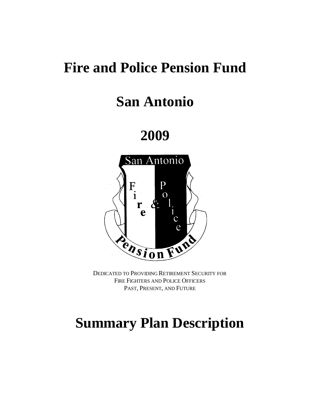# **Fire and Police Pension Fund**

# **San Antonio**

**2009**



DEDICATED TO PROVIDING RETIREMENT SECURITY FOR FIRE FIGHTERS AND POLICE OFFICERS PAST, PRESENT, AND FUTURE

# **Summary Plan Description**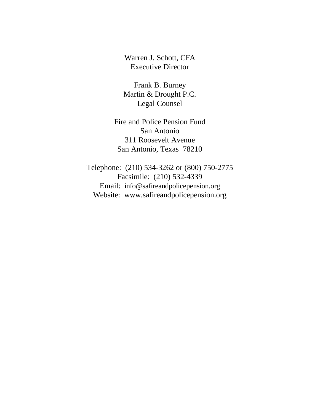Warren J. Schott, CFA Executive Director

Frank B. Burney Martin & Drought P.C. Legal Counsel

Fire and Police Pension Fund San Antonio 311 Roosevelt Avenue San Antonio, Texas 78210

Telephone: (210) 534-3262 or (800) 750-2775 Facsimile: (210) 532-4339 Email: info@safireandpolicepension.org Website: www.safireandpolicepension.org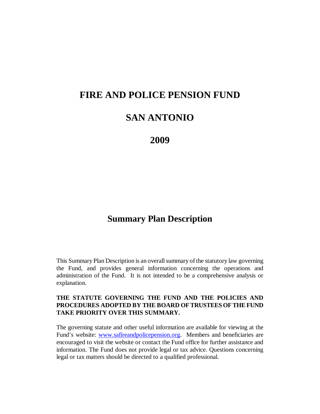# **FIRE AND POLICE PENSION FUND**

# **SAN ANTONIO**

**2009**

# **Summary Plan Description**

This Summary Plan Description is an overall summary of the statutory law governing the Fund, and provides general information concerning the operations and administration of the Fund. It is not intended to be a comprehensive analysis or explanation.

#### **THE STATUTE GOVERNING THE FUND AND THE POLICIES AND PROCEDURES ADOPTED BY THE BOARD OF TRUSTEES OF THE FUND TAKE PRIORITY OVER THIS SUMMARY.**

The governing statute and other useful information are available for viewing at the Fund's website: [www.safireandpolicepension.org.](http://www.safireandpolicepension.org/) Members and beneficiaries are encouraged to visit the website or contact the Fund office for further assistance and information. The Fund does not provide legal or tax advice. Questions concerning legal or tax matters should be directed to a qualified professional.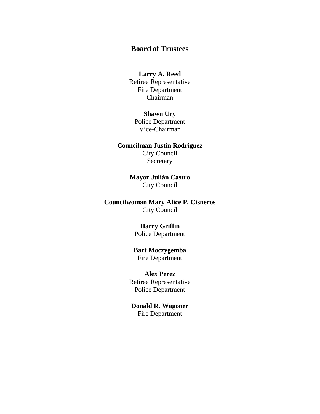# **Board of Trustees**

#### **Larry A. Reed** Retiree Representative Fire Department Chairman

## **Shawn Ury** Police Department Vice-Chairman

## **Councilman Justin Rodriguez**

City Council Secretary

# **Mayor Julián Castro** City Council

## **Councilwoman Mary Alice P. Cisneros** City Council

# **Harry Griffin**

Police Department

#### **Bart Moczygemba** Fire Department

**Alex Perez** Retiree Representative Police Department

## **Donald R. Wagoner** Fire Department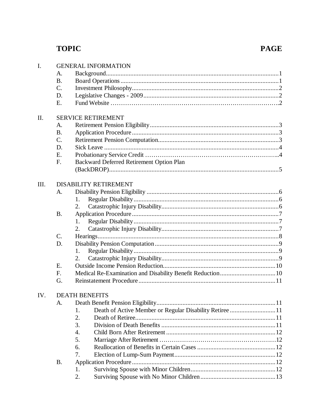# **TOPIC**

# **PAGE**

| I.   | <b>GENERAL INFORMATION</b>   |                                                               |  |  |
|------|------------------------------|---------------------------------------------------------------|--|--|
|      | A.                           |                                                               |  |  |
|      | <b>B.</b>                    |                                                               |  |  |
|      | C.                           |                                                               |  |  |
|      | D.                           |                                                               |  |  |
|      | Ε.                           |                                                               |  |  |
| II.  |                              | <b>SERVICE RETIREMENT</b>                                     |  |  |
|      |                              |                                                               |  |  |
|      | A.<br><b>B.</b>              |                                                               |  |  |
|      | C.                           |                                                               |  |  |
|      |                              |                                                               |  |  |
|      | D.                           |                                                               |  |  |
|      | Ε.                           |                                                               |  |  |
|      | F.                           | Backward Deferred Retirement Option Plan                      |  |  |
|      |                              |                                                               |  |  |
| III. | <b>DISABILITY RETIREMENT</b> |                                                               |  |  |
|      | А.                           |                                                               |  |  |
|      |                              | 1.                                                            |  |  |
|      |                              | 2.                                                            |  |  |
|      | <b>B.</b>                    |                                                               |  |  |
|      |                              | 1.                                                            |  |  |
|      |                              | 2.                                                            |  |  |
|      | C.                           |                                                               |  |  |
|      | D.                           |                                                               |  |  |
|      |                              | 1.                                                            |  |  |
|      |                              | 2.                                                            |  |  |
|      | E.                           |                                                               |  |  |
|      | F.                           |                                                               |  |  |
|      | G.                           |                                                               |  |  |
| IV.  |                              | <b>DEATH BENEFITS</b>                                         |  |  |
|      | A.                           |                                                               |  |  |
|      |                              | Death of Active Member or Regular Disability Retiree 11<br>1. |  |  |
|      |                              | 2.                                                            |  |  |
|      |                              | 3.                                                            |  |  |
|      |                              | $\overline{4}$ .                                              |  |  |
|      |                              | 5.                                                            |  |  |
|      |                              | 6.                                                            |  |  |
|      |                              | 7.                                                            |  |  |
|      | <b>B.</b>                    |                                                               |  |  |
|      |                              |                                                               |  |  |
|      |                              | 1.                                                            |  |  |
|      |                              | 2.                                                            |  |  |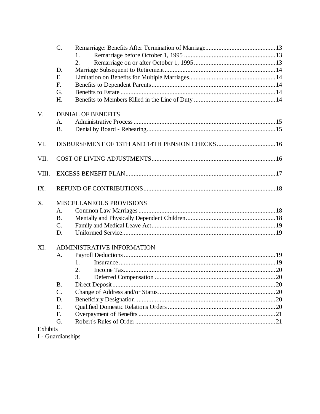|                 | $C$ .           |                                 |  |  |
|-----------------|-----------------|---------------------------------|--|--|
|                 |                 | 1.                              |  |  |
|                 |                 | 2.                              |  |  |
|                 | D.              |                                 |  |  |
|                 | Ε.              |                                 |  |  |
|                 | F.              |                                 |  |  |
|                 | G.              |                                 |  |  |
|                 | H.              |                                 |  |  |
| V.              |                 | <b>DENIAL OF BENEFITS</b>       |  |  |
|                 | A.              |                                 |  |  |
|                 | <b>B.</b>       |                                 |  |  |
| VI.             |                 |                                 |  |  |
| VII.            |                 |                                 |  |  |
| VIII.           |                 |                                 |  |  |
| IX.             |                 |                                 |  |  |
| X.              |                 | <b>MISCELLANEOUS PROVISIONS</b> |  |  |
|                 | A.              |                                 |  |  |
|                 | <b>B.</b>       |                                 |  |  |
|                 | $C$ .           |                                 |  |  |
|                 | D.              |                                 |  |  |
| XI.             |                 | ADMINISTRATIVE INFORMATION      |  |  |
|                 | A.              |                                 |  |  |
|                 |                 | 1.                              |  |  |
|                 |                 | 2.                              |  |  |
|                 |                 | $\mathcal{F}_{\mathcal{A}}$     |  |  |
|                 | <b>B.</b>       |                                 |  |  |
|                 | $\mathcal{C}$ . |                                 |  |  |
|                 | D.              |                                 |  |  |
|                 | E.              |                                 |  |  |
|                 | F.              |                                 |  |  |
|                 | G.              |                                 |  |  |
| <b>Exhibits</b> |                 |                                 |  |  |

I - Guardianships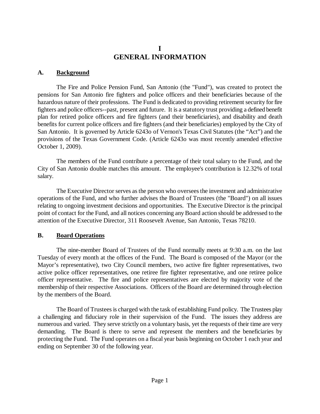# **I GENERAL INFORMATION**

#### **A. Background**

The Fire and Police Pension Fund, San Antonio (the "Fund"), was created to protect the pensions for San Antonio fire fighters and police officers and their beneficiaries because of the hazardous nature of their professions. The Fund is dedicated to providing retirement security for fire fighters and police officers--past, present and future. It is a statutory trust providing a defined benefit plan for retired police officers and fire fighters (and their beneficiaries), and disability and death benefits for current police officers and fire fighters (and their beneficiaries) employed by the City of San Antonio. It is governed by Article 6243o of Vernon's Texas Civil Statutes (the "Act") and the provisions of the Texas Government Code. (Article 6243o was most recently amended effective October 1, 2009).

The members of the Fund contribute a percentage of their total salary to the Fund, and the City of San Antonio double matches this amount. The employee's contribution is 12.32% of total salary.

The Executive Director serves as the person who oversees the investment and administrative operations of the Fund, and who further advises the Board of Trustees (the "Board") on all issues relating to ongoing investment decisions and opportunities. The Executive Director is the principal point of contact for the Fund, and all notices concerning any Board action should be addressed to the attention of the Executive Director, 311 Roosevelt Avenue, San Antonio, Texas 78210.

#### **B. Board Operations**

The nine-member Board of Trustees of the Fund normally meets at 9:30 a.m. on the last Tuesday of every month at the offices of the Fund. The Board is composed of the Mayor (or the Mayor's representative), two City Council members, two active fire fighter representatives, two active police officer representatives, one retiree fire fighter representative, and one retiree police officer representative. The fire and police representatives are elected by majority vote of the membership of their respective Associations. Officers of the Board are determined through election by the members of the Board.

The Board of Trustees is charged with the task of establishing Fund policy. The Trustees play a challenging and fiduciary role in their supervision of the Fund. The issues they address are numerous and varied. They serve strictly on a voluntary basis, yet the requests of their time are very demanding. The Board is there to serve and represent the members and the beneficiaries by protecting the Fund. The Fund operates on a fiscal year basis beginning on October 1 each year and ending on September 30 of the following year.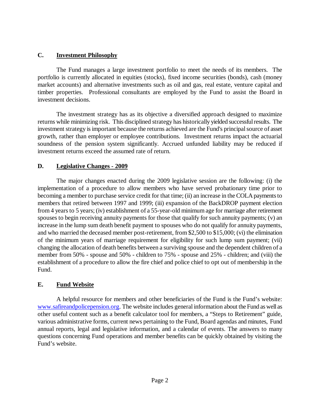## **C. Investment Philosophy**

The Fund manages a large investment portfolio to meet the needs of its members. The portfolio is currently allocated in equities (stocks), fixed income securities (bonds), cash (money market accounts) and alternative investments such as oil and gas, real estate, venture capital and timber properties. Professional consultants are employed by the Fund to assist the Board in investment decisions.

The investment strategy has as its objective a diversified approach designed to maximize returns while minimizing risk. This disciplined strategy has historically yielded successfulresults. The investment strategy is important because the returns achieved are the Fund's principal source of asset growth, rather than employer or employee contributions. Investment returns impact the actuarial soundness of the pension system significantly. Accrued unfunded liability may be reduced if investment returns exceed the assumed rate of return.

## **D. Legislative Changes - 2009**

The major changes enacted during the 2009 legislative session are the following: (i) the implementation of a procedure to allow members who have served probationary time prior to becoming a member to purchase service credit for that time; (ii) an increase in the COLA payments to members that retired between 1997 and 1999; (iii) expansion of the BackDROP payment election from 4 years to 5 years; (iv) establishment of a 55-year-old minimum age for marriage after retirement spouses to begin receiving annuity payments for those that qualify for such annuity payments; (v) an increase in the lump sum death benefit payment to spouses who do not qualify for annuity payments, and who married the deceased member post-retirement, from \$2,500 to \$15,000; (vi) the elimination of the minimum years of marriage requirement for eligibility for such lump sum payment; (vii) changing the allocation of death benefits between a surviving spouse and the dependent children of a member from 50% - spouse and 50% - children to 75% - spouse and 25% - children; and (viii) the establishment of a procedure to allow the fire chief and police chief to opt out of membership in the Fund.

# **E. Fund Website**

A helpful resource for members and other beneficiaries of the Fund is the Fund's website: [www.safireandpolicepension.org.](http://www.safireandpolicepension.org/) The website includes general information about the Fund as well as other useful content such as a benefit calculator tool for members, a "Steps to Retirement" guide, various administrative forms, current news pertaining to the Fund, Board agendas and minutes, Fund annual reports, legal and legislative information, and a calendar of events. The answers to many questions concerning Fund operations and member benefits can be quickly obtained by visiting the Fund's website.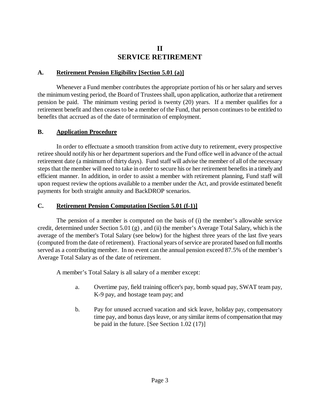# **II SERVICE RETIREMENT**

#### **A. Retirement Pension Eligibility [Section 5.01 (a)]**

Whenever a Fund member contributes the appropriate portion of his or her salary and serves the minimum vesting period, the Board of Trustees shall, upon application, authorize that a retirement pension be paid. The minimum vesting period is twenty (20) years. If a member qualifies for a retirement benefit and then ceases to be a member of the Fund, that person continues to be entitled to benefits that accrued as of the date of termination of employment.

## **B. Application Procedure**

In order to effectuate a smooth transition from active duty to retirement, every prospective retiree should notify his or her department superiors and the Fund office well in advance of the actual retirement date (a minimum of thirty days). Fund staff will advise the member of all of the necessary steps that the member will need to take in order to secure his or her retirement benefits in a timelyand efficient manner. In addition, in order to assist a member with retirement planning, Fund staff will upon request review the options available to a member under the Act, and provide estimated benefit payments for both straight annuity and BackDROP scenarios.

## **C. Retirement Pension Computation [Section 5.01 (f-1)]**

The pension of a member is computed on the basis of (i) the member's allowable service credit, determined under Section 5.01 (g) , and (ii) the member's Average Total Salary, which is the average of the member's Total Salary (see below) for the highest three years of the last five years (computed from the date of retirement). Fractional years of service are prorated based on fullmonths served as a contributing member. In no event can the annual pension exceed 87.5% of the member's Average Total Salary as of the date of retirement.

A member's Total Salary is all salary of a member except:

- a. Overtime pay, field training officer's pay, bomb squad pay, SWAT team pay, K-9 pay, and hostage team pay; and
- b. Pay for unused accrued vacation and sick leave, holiday pay, compensatory time pay, and bonus days leave, or any similar items of compensation that may be paid in the future. [See Section 1.02 (17)]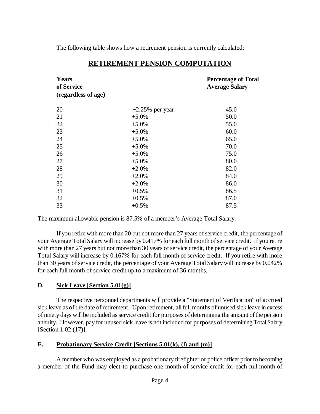The following table shows how a retirement pension is currently calculated:

| Years<br>of Service<br>(regardless of age) | <b>Percentage of Total</b><br><b>Average Salary</b> |      |
|--------------------------------------------|-----------------------------------------------------|------|
| 20                                         | $+2.25\%$ per year                                  | 45.0 |
| 21                                         | $+5.0%$                                             | 50.0 |
| 22                                         | $+5.0%$                                             | 55.0 |
| 23                                         | $+5.0\%$                                            | 60.0 |
| 24                                         | $+5.0\%$                                            | 65.0 |
| 25                                         | $+5.0%$                                             | 70.0 |
| 26                                         | $+5.0%$                                             | 75.0 |
| 27                                         | $+5.0\%$                                            | 80.0 |
| 28                                         | $+2.0%$                                             | 82.0 |
| 29                                         | $+2.0%$                                             | 84.0 |
| 30                                         | $+2.0%$                                             | 86.0 |
| 31                                         | $+0.5%$                                             | 86.5 |
| 32                                         | $+0.5%$                                             | 87.0 |
| 33                                         | $+0.5%$                                             | 87.5 |

# **RETIREMENT PENSION COMPUTATION**

The maximum allowable pension is 87.5% of a member's Average Total Salary.

If you retire with more than 20 but not more than 27 years of service credit, the percentage of your Average Total Salary will increase by 0.417% for each full month of service credit. If you retire with more than 27 years but not more than 30 years of service credit, the percentage of your Average Total Salary will increase by 0.167% for each full month of service credit. If you retire with more than 30 years of service credit, the percentage of your Average Total Salary will increase by 0.042% for each full month of service credit up to a maximum of 36 months.

# **D. Sick Leave [Section 5.01(g)]**

The respective personnel departments will provide a "Statement of Verification" of accrued sick leave as of the date of retirement. Upon retirement, all full months of unused sick leave in excess of ninety days will be included as service credit for purposes of determining the amount of the pension annuity. However, pay for unused sick leave is not included for purposes of determining TotalSalary [Section 1.02 (17)].

# **E. Probationary Service Credit [Sections 5.01(k), (l) and (m)]**

A member who was employed as a probationary firefighter or police officer prior to becoming a member of the Fund may elect to purchase one month of service credit for each full month of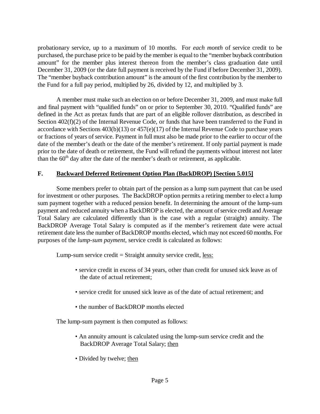probationary service, up to a maximum of 10 months. For *each month* of service credit to be purchased, the purchase price to be paid by the member is equal to the "member buyback contribution amount" for the member plus interest thereon from the member's class graduation date until December 31, 2009 (or the date full payment is received by the Fund if before December 31, 2009). The "member buyback contribution amount" is the amount of the first contribution by the member to the Fund for a full pay period, multiplied by 26, divided by 12, and multiplied by 3.

A member must make such an election on or before December 31, 2009, and must make full and final payment with "qualified funds" on or prior to September 30, 2010. "Qualified funds" are defined in the Act as pretax funds that are part of an eligible rollover distribution, as described in Section  $402(f)(2)$  of the Internal Revenue Code, or funds that have been transferred to the Fund in accordance with Sections 403(b)(13) or 457(e)(17) of the Internal Revenue Code to purchase years or fractions of years of service. Payment in full must also be made prior to the earlier to occur of the date of the member's death or the date of the member's retirement. If only partial payment is made prior to the date of death or retirement, the Fund will refund the payments without interest not later than the  $60<sup>th</sup>$  day after the date of the member's death or retirement, as applicable.

## **F. Backward Deferred Retirement Option Plan (BackDROP) [Section 5.015]**

Some members prefer to obtain part of the pension as a lump sum payment that can be used for investment or other purposes. The BackDROP option permits a retiring member to elect a lump sum payment together with a reduced pension benefit. In determining the amount of the lump-sum payment and reduced annuity when a BackDROP is elected, the amount of service credit and Average Total Salary are calculated differently than is the case with a regular (straight) annuity. The BackDROP Average Total Salary is computed as if the member's retirement date were actual retirement date less the number of BackDROP months elected, which may not exceed 60 months. For purposes of the *lump-sum payment*, service credit is calculated as follows:

Lump-sum service credit  $=$  Straight annuity service credit, <u>less:</u>

- service credit in excess of 34 years, other than credit for unused sick leave as of the date of actual retirement;
- service credit for unused sick leave as of the date of actual retirement; and
- the number of BackDROP months elected

The lump-sum payment is then computed as follows:

- An annuity amount is calculated using the lump-sum service credit and the BackDROP Average Total Salary; then
- Divided by twelve; then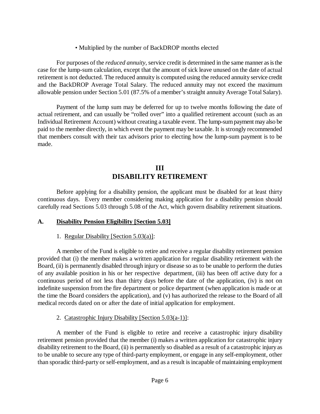• Multiplied by the number of BackDROP months elected

For purposes of the *reduced annuity,* service credit is determined in the same manner as is the case for the lump-sum calculation, except that the amount of sick leave unused on the date of actual retirement is not deducted. The reduced annuity is computed using the reduced annuity service credit and the BackDROP Average Total Salary. The reduced annuity may not exceed the maximum allowable pension under Section 5.01 (87.5% of a member'sstraight annuity Average Total Salary).

Payment of the lump sum may be deferred for up to twelve months following the date of actual retirement, and can usually be "rolled over" into a qualified retirement account (such as an Individual Retirement Account) without creating a taxable event. The lump-sumpayment mayalso be paid to the member directly, in which event the payment may be taxable. It is strongly recommended that members consult with their tax advisors prior to electing how the lump-sum payment is to be made.

# **III DISABILITY RETIREMENT**

Before applying for a disability pension, the applicant must be disabled for at least thirty continuous days. Every member considering making application for a disability pension should carefully read Sections 5.03 through 5.08 of the Act, which govern disability retirement situations.

#### **A. Disability Pension Eligibility [Section 5.03]**

#### 1. Regular Disability [Section 5.03(a)]:

A member of the Fund is eligible to retire and receive a regular disability retirement pension provided that (i) the member makes a written application for regular disability retirement with the Board, (ii) is permanently disabled through injury or disease so as to be unable to perform the duties of any available position in his or her respective department, (iii) has been off active duty for a continuous period of not less than thirty days before the date of the application, (iv) is not on indefinite suspension from the fire department or police department (when application is made or at the time the Board considers the application), and (v) has authorized the release to the Board of all medical records dated on or after the date of initial application for employment.

2. Catastrophic Injury Disability [Section  $5.03(a-1)$ ]:

A member of the Fund is eligible to retire and receive a catastrophic injury disability retirement pension provided that the member (i) makes a written application for catastrophic injury disability retirement to the Board, (ii) is permanently so disabled as a result of a catastrophic injuryas to be unable to secure any type of third-party employment, or engage in any self-employment, other than sporadic third-party or self-employment, and as a result isincapable of maintaining employment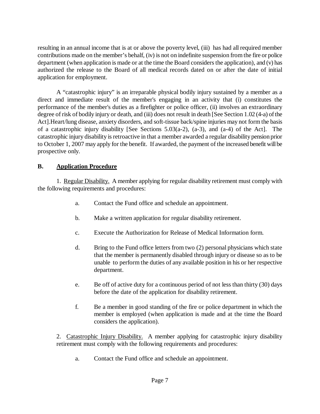resulting in an annual income that is at or above the poverty level, (iii) has had all required member contributions made on the member's behalf, (iv) is not on indefinite suspension from the fire or police department (when application is made or at the time the Board considers the application), and (v) has authorized the release to the Board of all medical records dated on or after the date of initial application for employment.

A "catastrophic injury" is an irreparable physical bodily injury sustained by a member as a direct and immediate result of the member's engaging in an activity that (i) constitutes the performance of the member's duties as a firefighter or police officer, (ii) involves an extraordinary degree of risk of bodily injury or death, and (iii) does not result in death [See Section 1.02 (4-a) of the Act].Heart/lung disease, anxiety disorders, and soft-tissue back/spine injuries may not form the basis of a catastrophic injury disability [See Sections 5.03(a-2), (a-3), and (a-4) of the Act]. The catastrophic injury disability is retroactive in that a member awarded a regular disability pension prior to October 1, 2007 may apply for the benefit. If awarded, the payment of the increased benefit willbe prospective only.

# **B. Application Procedure**

1. Regular Disability. A member applying for regular disability retirement must comply with the following requirements and procedures:

- a. Contact the Fund office and schedule an appointment.
- b. Make a written application for regular disability retirement.
- c. Execute the Authorization for Release of Medical Information form.
- d. Bring to the Fund office letters from two (2) personal physicians which state that the member is permanently disabled through injury or disease so as to be unable to perform the duties of any available position in his or her respective department.
- e. Be off of active duty for a continuous period of not less than thirty (30) days before the date of the application for disability retirement.
- f. Be a member in good standing of the fire or police department in which the member is employed (when application is made and at the time the Board considers the application).

2. Catastrophic Injury Disability. A member applying for catastrophic injury disability retirement must comply with the following requirements and procedures:

a. Contact the Fund office and schedule an appointment.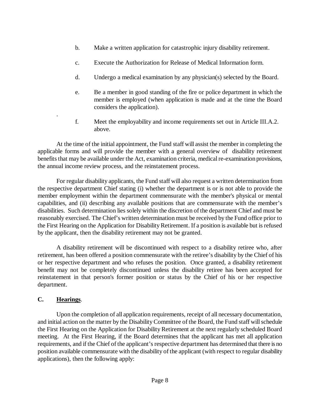- b. Make a written application for catastrophic injury disability retirement.
- c. Execute the Authorization for Release of Medical Information form.
- d. Undergo a medical examination by any physician(s) selected by the Board.
- e. Be a member in good standing of the fire or police department in which the member is employed (when application is made and at the time the Board considers the application).
- f. Meet the employability and income requirements set out in Article III.A.2. above.

At the time of the initial appointment, the Fund staff will assist the member in completing the applicable forms and will provide the member with a general overview of disability retirement benefits that may be available under the Act, examination criteria, medical re-examination provisions, the annual income review process, and the reinstatement process.

For regular disability applicants, the Fund staff will also request a written determination from the respective department Chief stating (i) whether the department is or is not able to provide the member employment within the department commensurate with the member's physical or mental capabilities, and (ii) describing any available positions that are commensurate with the member's disabilities. Such determination lies solely within the discretion of the department Chief and must be reasonably exercised. The Chief's written determination must be received by the Fund office prior to the First Hearing on the Application for Disability Retirement. If a position is available but is refused by the applicant, then the disability retirement may not be granted.

A disability retirement will be discontinued with respect to a disability retiree who, after retirement, has been offered a position commensurate with the retiree's disability by the Chief of his or her respective department and who refuses the position. Once granted, a disability retirement benefit may not be completely discontinued unless the disability retiree has been accepted for reinstatement in that person's former position or status by the Chief of his or her respective department.

# **C. Hearings**.

.

Upon the completion of all application requirements, receipt of all necessary documentation, and initial action on the matter by the Disability Committee of the Board, the Fund staff willschedule the First Hearing on the Application for Disability Retirement at the next regularly scheduled Board meeting. At the First Hearing, if the Board determines that the applicant has met all application requirements, and if the Chief of the applicant's respective department has determined that there is no position available commensurate with the disability of the applicant (with respect to regular disability applications), then the following apply: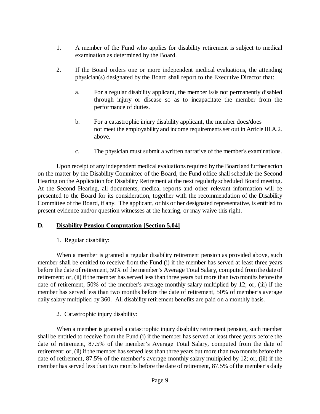- 1. A member of the Fund who applies for disability retirement is subject to medical examination as determined by the Board.
- 2. If the Board orders one or more independent medical evaluations, the attending physician(s) designated by the Board shall report to the Executive Director that:
	- a. For a regular disability applicant, the member is/is not permanently disabled through injury or disease so as to incapacitate the member from the performance of duties.
	- b. For a catastrophic injury disability applicant, the member does/does not meet the employability and income requirements set out in Article III.A.2. above.
	- c. The physician must submit a written narrative of the member's examinations.

Upon receipt of any independent medical evaluations required by the Board and further action on the matter by the Disability Committee of the Board, the Fund office shall schedule the Second Hearing on the Application for Disability Retirement at the next regularly scheduled Board meeting. At the Second Hearing, all documents, medical reports and other relevant information will be presented to the Board for its consideration, together with the recommendation of the Disability Committee of the Board, if any. The applicant, or his or her designated representative, is entitled to present evidence and/or question witnesses at the hearing, or may waive this right.

#### **D. Disability Pension Computation [Section 5.04]**

#### 1. Regular disability:

When a member is granted a regular disability retirement pension as provided above, such member shall be entitled to receive from the Fund (i) if the member has served at least three years before the date of retirement, 50% of the member's Average Total Salary, computed fromthe date of retirement; or, (ii) if the member has served less than three years but more than two months before the date of retirement, 50% of the member's average monthly salary multiplied by 12; or, (iii) if the member has served less than two months before the date of retirement, 50% of member's average daily salary multiplied by 360. All disability retirement benefits are paid on a monthly basis.

#### 2. Catastrophic injury disability:

When a member is granted a catastrophic injury disability retirement pension, such member shall be entitled to receive from the Fund (i) if the member has served at least three years before the date of retirement, 87.5% of the member's Average Total Salary, computed from the date of retirement; or, (ii) if the member has served less than three years but more than two months before the date of retirement, 87.5% of the member's average monthly salary multiplied by 12; or, (iii) if the member has served less than two months before the date of retirement, 87.5% of the member's daily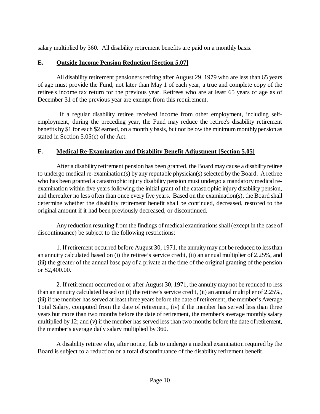salary multiplied by 360. All disability retirement benefits are paid on a monthly basis.

## **E. Outside Income Pension Reduction [Section 5.07]**

All disability retirement pensioners retiring after August 29, 1979 who are less than 65 years of age must provide the Fund, not later than May 1 of each year, a true and complete copy of the retiree's income tax return for the previous year. Retirees who are at least 65 years of age as of December 31 of the previous year are exempt from this requirement.

If a regular disability retiree received income from other employment, including selfemployment, during the preceding year, the Fund may reduce the retiree's disability retirement benefits by \$1 for each \$2 earned, on a monthly basis, but not below the minimum monthly pension as stated in Section 5.05(c) of the Act.

# **F. Medical Re-Examination and Disability Benefit Adjustment [Section 5.05]**

After a disability retirement pension has been granted, the Board may cause a disabilityretiree to undergo medical re-examination(s) by any reputable physician(s) selected by the Board. A retiree who has been granted a catastrophic injury disability pension must undergo a mandatory medical reexamination within five years following the initial grant of the catastrophic injury disability pension, and thereafter no less often than once every five years. Based on the examination(s), the Board shall determine whether the disability retirement benefit shall be continued, decreased, restored to the original amount if it had been previously decreased, or discontinued.

Any reduction resulting from the findings of medical examinations shall(except in the case of discontinuance) be subject to the following restrictions:

1. If retirement occurred before August 30, 1971, the annuity may not be reduced to less than an annuity calculated based on (i) the retiree's service credit, (ii) an annual multiplier of 2.25%, and (iii) the greater of the annual base pay of a private at the time of the original granting of the pension or \$2,400.00.

2. If retirement occurred on or after August 30, 1971, the annuity may not be reduced to less than an annuity calculated based on (i) the retiree's service credit, (ii) an annual multiplier of 2.25%, (iii) if the member has served at least three years before the date of retirement, the member's Average Total Salary, computed from the date of retirement, (iv) if the member has served less than three years but more than two months before the date of retirement, the member's average monthly salary multiplied by 12; and (v) if the member has served less than two months before the date of retirement, the member's average daily salary multiplied by 360.

A disability retiree who, after notice, fails to undergo a medical examination required by the Board is subject to a reduction or a total discontinuance of the disability retirement benefit.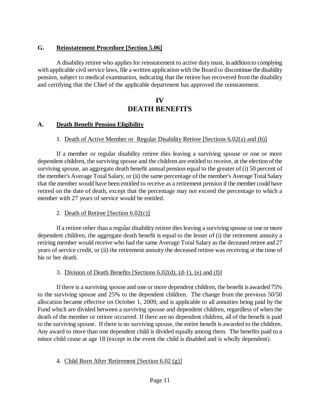## **G. Reinstatement Procedure [Section 5.06]**

A disability retiree who applies for reinstatement to active duty must, in addition to complying with applicable civil service laws, file a written application with the Board to discontinue the disability pension, subject to medical examination, indicating that the retiree has recovered from the disability and certifying that the Chief of the applicable department has approved the reinstatement.

# **IV DEATH BENEFITS**

## **A. Death Benefit Pension Eligibility**

#### 1. Death of Active Member or Regular Disability Retiree [Sections 6.02(a) and (b)]

If a member or regular disability retiree dies leaving a surviving spouse or one or more dependent children, the surviving spouse and the children are entitled to receive, at the election of the surviving spouse, an aggregate death benefit annual pension equal to the greater of (i) 50 percent of the member's Average Total Salary, or (ii) the same percentage of the member's Average TotalSalary that the member would have been entitled to receive as a retirement pension if the member could have retired on the date of death, except that the percentage may not exceed the percentage to which a member with 27 years of service would be entitled.

#### 2. Death of Retiree [Section 6.02(c)]

If a retiree other than a regular disability retiree dies leaving a surviving spouse or one or more dependent children, the aggregate death benefit is equal to the lesser of (i) the retirement annuity a retiring member would receive who had the same Average Total Salary as the deceased retiree and 27 years of service credit, or (ii) the retirement annuity the deceased retiree was receiving at the time of his or her death.

#### 3. Division of Death Benefits [Sections 6.02(d), (d-1), (e) and (f)]

If there is a surviving spouse and one or more dependent children, the benefit is awarded 75% to the surviving spouse and 25% to the dependent children. The change from the previous 50/50 allocation became effective on October 1, 2009, and is applicable to all annuities being paid by the Fund which are divided between a surviving spouse and dependent children, regardless of when the death of the member or retiree occurred. If there are no dependent children, all of the benefit is paid to the surviving spouse. If there is no surviving spouse, the entire benefit is awarded to the children. Any award to more than one dependent child is divided equally among them. The benefits paid to a minor child cease at age 18 (except in the event the child is disabled and is wholly dependent).

# 4. Child Born After Retirement [Section 6.02 (g)]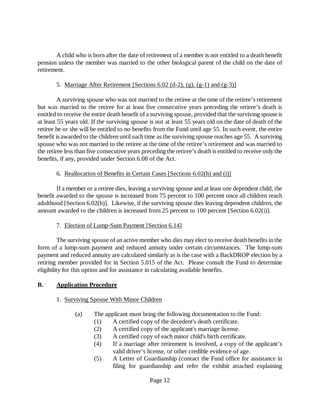A child who is born after the date of retirement of a member is not entitled to a death benefit pension unless the member was married to the other biological parent of the child on the date of retirement.

#### 5. Marriage After Retirement [Sections  $6.02$  (d-2), (g), (g-1) and (g-3)]

A surviving spouse who was not married to the retiree at the time of the retiree's retirement but was married to the retiree for at least five consecutive years preceding the retiree's death is entitled to receive the entire death benefit of a surviving spouse, provided that the surviving spouse is at least 55 years old. If the surviving spouse is not at least 55 years old on the date of death of the retiree he or she will be entitled to no benefits from the Fund until age 55. In such event, the entire benefit is awarded to the children until such time as the surviving spouse reaches age 55. A surviving spouse who was not married to the retiree at the time of the retiree's retirement and was married to the retiree less than five consecutive years preceding the retiree's death is entitled to receive only the benefits, if any, provided under Section 6.08 of the Act.

#### 6. Reallocation of Benefits in Certain Cases [Sections 6.02(h) and (i)]

If a member or a retiree dies, leaving a surviving spouse and at least one dependent child, the benefit awarded to the spouse is increased from 75 percent to 100 percent once all children reach adulthood [Section 6.02(h)]. Likewise, if the surviving spouse dies leaving dependent children, the amount awarded to the children is increased from 25 percent to 100 percent [Section 6.02(i)].

#### 7. Election of Lump-Sum Payment [Section 6.14]

The surviving spouse of an active member who dies may elect to receive death benefits in the form of a lump-sum payment and reduced annuity under certain circumstances. The lump-sum payment and reduced annuity are calculated similarly as is the case with a BackDROP election by a retiring member provided for in Section 5.015 of the Act. Please consult the Fund to determine eligibility for this option and for assistance in calculating available benefits.

#### **B. Application Procedure**

#### 1. Surviving Spouse With Minor Children

- (a) The applicant must bring the following documentation to the Fund:
	- (1) A certified copy of the decedent's death certificate.
	- (2) A certified copy of the applicant's marriage license.
	- (3) A certified copy of each minor child's birth certificate.
	- (4) If a marriage after retirement is involved, a copy of the applicant's valid driver's license, or other credible evidence of age.
	- (5) A Letter of Guardianship (contact the Fund office for assistance in filing for guardianship and refer the exhibit attached explaining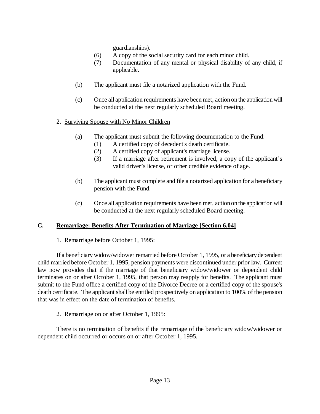guardianships).

- (6) A copy of the social security card for each minor child.
- (7) Documentation of any mental or physical disability of any child, if applicable.
- (b) The applicant must file a notarized application with the Fund.
- (c) Once all application requirements have been met, action on the application will be conducted at the next regularly scheduled Board meeting.

#### 2. Surviving Spouse with No Minor Children

- (a) The applicant must submit the following documentation to the Fund:
	- (1) A certified copy of decedent's death certificate.
	- (2) A certified copy of applicant's marriage license.
	- (3) If a marriage after retirement is involved, a copy of the applicant's valid driver's license, or other credible evidence of age.
- (b) The applicant must complete and file a notarized application for a beneficiary pension with the Fund.
- (c) Once all application requirements have been met, action on the application will be conducted at the next regularly scheduled Board meeting.

#### **C. Remarriage: Benefits After Termination of Marriage [Section 6.04]**

#### 1. Remarriage before October 1, 1995:

If a beneficiary widow/widower remarried before October 1, 1995, or a beneficiarydependent child married before October 1, 1995, pension payments were discontinued under prior law. Current law now provides that if the marriage of that beneficiary widow/widower or dependent child terminates on or after October 1, 1995, that person may reapply for benefits. The applicant must submit to the Fund office a certified copy of the Divorce Decree or a certified copy of the spouse's death certificate. The applicant shall be entitled prospectively on application to 100% of the pension that was in effect on the date of termination of benefits.

#### 2. Remarriage on or after October 1, 1995:

There is no termination of benefits if the remarriage of the beneficiary widow/widower or dependent child occurred or occurs on or after October 1, 1995.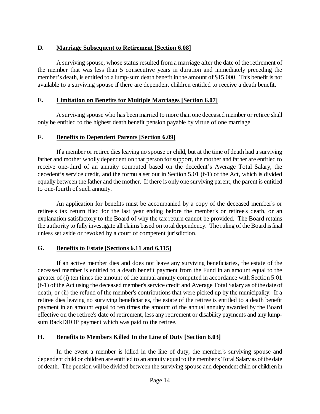# **D. Marriage Subsequent to Retirement [Section 6.08]**

A surviving spouse, whose status resulted from a marriage after the date of the retirement of the member that was less than 5 consecutive years in duration and immediately preceding the member's death, is entitled to a lump-sum death benefit in the amount of \$15,000. This benefit is not available to a surviving spouse if there are dependent children entitled to receive a death benefit.

# **E. Limitation on Benefits for Multiple Marriages [Section 6.07]**

A surviving spouse who has been married to more than one deceased member or retiree shall only be entitled to the highest death benefit pension payable by virtue of one marriage.

# **F. Benefits to Dependent Parents [Section 6.09]**

If a member or retiree dies leaving no spouse or child, but at the time of death had a surviving father and mother wholly dependent on that person for support, the mother and father are entitled to receive one-third of an annuity computed based on the decedent's Average Total Salary, the decedent's service credit, and the formula set out in Section 5.01 (f-1) of the Act, which is divided equally between the father and the mother. If there is only one surviving parent, the parent is entitled to one-fourth of such annuity.

An application for benefits must be accompanied by a copy of the deceased member's or retiree's tax return filed for the last year ending before the member's or retiree's death, or an explanation satisfactory to the Board of why the tax return cannot be provided. The Board retains the authority to fully investigate all claims based on total dependency. The ruling of the Board is final unless set aside or revoked by a court of competent jurisdiction.

# **G. Benefits to Estate [Sections 6.11 and 6.115]**

If an active member dies and does not leave any surviving beneficiaries, the estate of the deceased member is entitled to a death benefit payment from the Fund in an amount equal to the greater of (i) ten times the amount of the annual annuity computed in accordance with Section 5.01 (f-1) of the Act using the deceased member's service credit and Average Total Salary as of the date of death, or (ii) the refund of the member's contributions that were picked up by the municipality. If a retiree dies leaving no surviving beneficiaries, the estate of the retiree is entitled to a death benefit payment in an amount equal to ten times the amount of the annual annuity awarded by the Board effective on the retiree's date of retirement, less any retirement or disability payments and any lumpsum BackDROP payment which was paid to the retiree.

# **H. Benefits to Members Killed In the Line of Duty [Section 6.03]**

In the event a member is killed in the line of duty, the member's surviving spouse and dependent child or children are entitled to an annuity equal to the member's Total Salary as of the date of death. The pension will be divided between the surviving spouse and dependent child or children in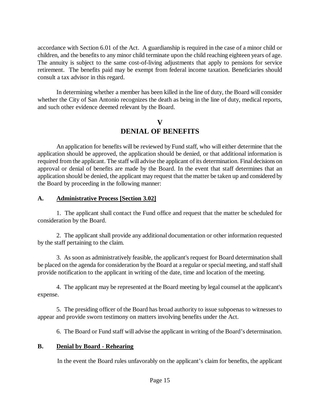accordance with Section 6.01 of the Act. A guardianship is required in the case of a minor child or children, and the benefits to any minor child terminate upon the child reaching eighteen years of age. The annuity is subject to the same cost-of-living adjustments that apply to pensions for service retirement. The benefits paid may be exempt from federal income taxation. Beneficiaries should consult a tax advisor in this regard.

In determining whether a member has been killed in the line of duty, the Board will consider whether the City of San Antonio recognizes the death as being in the line of duty, medical reports, and such other evidence deemed relevant by the Board.

# **V DENIAL OF BENEFITS**

An application for benefits will be reviewed by Fund staff, who will either determine that the application should be approved, the application should be denied, or that additional information is required from the applicant. The staff will advise the applicant of its determination. Final decisions on approval or denial of benefits are made by the Board. In the event that staff determines that an application should be denied, the applicant may request that the matter be taken up and considered by the Board by proceeding in the following manner:

## **A. Administrative Process [Section 3.02]**

1. The applicant shall contact the Fund office and request that the matter be scheduled for consideration by the Board.

2. The applicant shall provide any additional documentation or other information requested by the staff pertaining to the claim.

3. As soon as administratively feasible, the applicant's request for Board determination shall be placed on the agenda for consideration by the Board at a regular or special meeting, and staff shall provide notification to the applicant in writing of the date, time and location of the meeting.

4. The applicant may be represented at the Board meeting by legal counsel at the applicant's expense.

5. The presiding officer of the Board has broad authority to issue subpoenas to witnesses to appear and provide sworn testimony on matters involving benefits under the Act.

6. The Board or Fund staff will advise the applicant in writing of the Board's determination.

#### **B. Denial by Board - Rehearing**

In the event the Board rules unfavorably on the applicant's claim for benefits, the applicant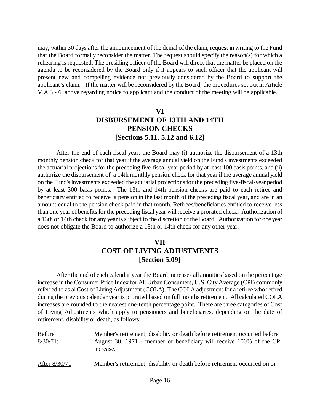may, within 30 days after the announcement of the denial of the claim, request in writing to the Fund that the Board formally reconsider the matter. The request should specify the reason(s) for which a rehearing is requested. The presiding officer of the Board will direct that the matter be placed on the agenda to be reconsidered by the Board only if it appears to such officer that the applicant will present new and compelling evidence not previously considered by the Board to support the applicant's claim. If the matter will be reconsidered by the Board, the procedures set out in Article V.A.3.- 6. above regarding notice to applicant and the conduct of the meeting will be applicable.

# **VI DISBURSEMENT OF 13TH AND 14TH PENSION CHECKS [Sections 5.11, 5.12 and 6.12]**

After the end of each fiscal year, the Board may (i) authorize the disbursement of a 13th monthly pension check for that year if the average annual yield on the Fund's investments exceeded the actuarial projections for the preceding five-fiscal-year period by at least 100 basis points, and (ii) authorize the disbursement of a 14th monthly pension check for that year if the average annual yield on the Fund's investments exceeded the actuarial projections for the preceding five-fiscal-year period by at least 300 basis points. The 13th and 14th pension checks are paid to each retiree and beneficiary entitled to receive a pension in the last month of the preceding fiscal year, and are in an amount equal to the pension check paid in that month. Retirees/beneficiaries entitled to receive less than one year of benefits for the preceding fiscal year will receive a prorated check. Authorization of a 13th or 14th check for any year is subject to the discretion of the Board. Authorization for one year does not obligate the Board to authorize a 13th or 14th check for any other year.

# **VII COST OF LIVING ADJUSTMENTS [Section 5.09]**

After the end of each calendar year the Board increases all annuities based on the percentage increase in the Consumer Price Index for All Urban Consumers, U.S. City Average (CPI) commonly referred to as al Cost of Living Adjustment (COLA). The COLA adjustment for a retiree who retired during the previous calendar year is prorated based on full months retirement. All calculated COLA increases are rounded to the nearest one-tenth percentage point. There are three categories of Cost of Living Adjustments which apply to pensioners and beneficiaries, depending on the date of retirement, disability or death, as follows:

| <b>Before</b> | Member's retirement, disability or death before retirement occurred before        |
|---------------|-----------------------------------------------------------------------------------|
| $8/30/71$ :   | August 30, 1971 - member or beneficiary will receive 100% of the CPI<br>increase. |
| After 8/30/71 | Member's retirement, disability or death before retirement occurred on or         |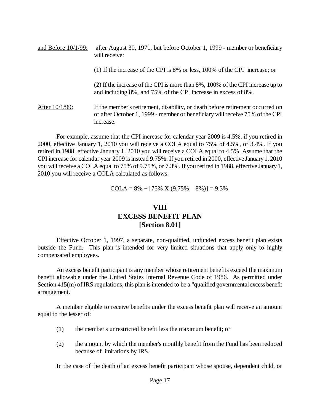| and Before $10/1/99$ : | after August 30, 1971, but before October 1, 1999 - member or beneficiary<br>will receive:                                                                                  |
|------------------------|-----------------------------------------------------------------------------------------------------------------------------------------------------------------------------|
|                        | (1) If the increase of the CPI is 8% or less, 100% of the CPI increase; or                                                                                                  |
|                        | (2) If the increase of the CPI is more than 8%, 100% of the CPI increase up to<br>and including 8%, and 75% of the CPI increase in excess of 8%.                            |
| After $10/1/99$ :      | If the member's retirement, disability, or death before retirement occurred on<br>or after October 1, 1999 - member or beneficiary will receive 75% of the CPI<br>increase. |

For example, assume that the CPI increase for calendar year 2009 is 4.5%. if you retired in 2000, effective January 1, 2010 you will receive a COLA equal to 75% of 4.5%, or 3.4%. If you retired in 1988, effective January 1, 2010 you will receive a COLA equal to 4.5%. Assume that the CPI increase for calendar year 2009 is instead 9.75%. If you retired in 2000, effective January1, 2010 you will receive a COLA equal to 75% of 9.75%, or 7.3%. If you retired in 1988, effective January1, 2010 you will receive a COLA calculated as follows:

 $COLA = 8\% + [75\% \ X (9.75\% - 8\%)] = 9.3\%$ 

# **VIII EXCESS BENEFIT PLAN [Section 8.01]**

Effective October 1, 1997, a separate, non-qualified, unfunded excess benefit plan exists outside the Fund. This plan is intended for very limited situations that apply only to highly compensated employees.

An excess benefit participant is any member whose retirement benefits exceed the maximum benefit allowable under the United States Internal Revenue Code of 1986. As permitted under Section 415(m) of IRS regulations, this plan is intended to be a "qualified governmental excess benefit arrangement."

A member eligible to receive benefits under the excess benefit plan will receive an amount equal to the lesser of:

- (1) the member's unrestricted benefit less the maximum benefit; or
- (2) the amount by which the member's monthly benefit from the Fund has been reduced because of limitations by IRS.

In the case of the death of an excess benefit participant whose spouse, dependent child, or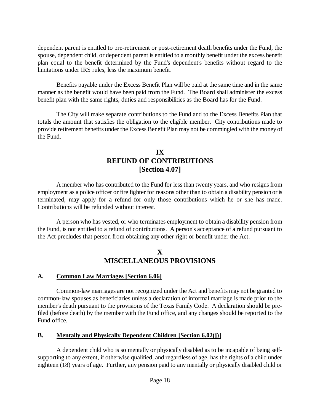dependent parent is entitled to pre-retirement or post-retirement death benefits under the Fund, the spouse, dependent child, or dependent parent is entitled to a monthly benefit under the excess benefit plan equal to the benefit determined by the Fund's dependent's benefits without regard to the limitations under IRS rules, less the maximum benefit.

Benefits payable under the Excess Benefit Plan will be paid at the same time and in the same manner as the benefit would have been paid from the Fund. The Board shall administer the excess benefit plan with the same rights, duties and responsibilities as the Board has for the Fund.

The City will make separate contributions to the Fund and to the Excess Benefits Plan that totals the amount that satisfies the obligation to the eligible member. City contributions made to provide retirement benefits under the Excess Benefit Plan may not be commingled with the money of the Fund.

# **IX REFUND OF CONTRIBUTIONS [Section 4.07]**

A member who has contributed to the Fund for less than twenty years, and who resigns from employment as a police officer or fire fighter for reasons other than to obtain a disability pension or is terminated, may apply for a refund for only those contributions which he or she has made. Contributions will be refunded without interest.

A person who has vested, or who terminates employment to obtain a disability pension from the Fund, is not entitled to a refund of contributions. A person's acceptance of a refund pursuant to the Act precludes that person from obtaining any other right or benefit under the Act.

# **X MISCELLANEOUS PROVISIONS**

#### **A. Common Law Marriages [Section 6.06]**

Common-law marriages are not recognized under the Act and benefits may not be granted to common-law spouses as beneficiaries unless a declaration of informal marriage is made prior to the member's death pursuant to the provisions of the Texas Family Code. A declaration should be prefiled (before death) by the member with the Fund office, and any changes should be reported to the Fund office.

# **B. Mentally and Physically Dependent Children [Section 6.02(j)]**

A dependent child who is so mentally or physically disabled as to be incapable of being selfsupporting to any extent, if otherwise qualified, and regardless of age, has the rights of a child under eighteen (18) years of age. Further, any pension paid to any mentally or physically disabled child or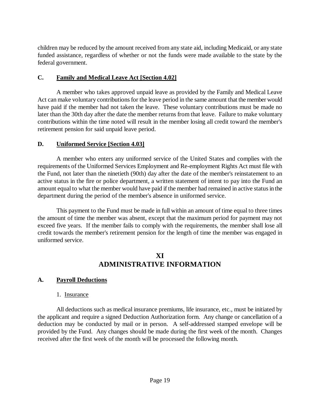children may be reduced by the amount received from any state aid, including Medicaid, or any state funded assistance, regardless of whether or not the funds were made available to the state by the federal government.

## **C. Family and Medical Leave Act [Section 4.02]**

A member who takes approved unpaid leave as provided by the Family and Medical Leave Act can make voluntary contributions for the leave period in the same amount that the member would have paid if the member had not taken the leave. These voluntary contributions must be made no later than the 30th day after the date the member returns from that leave. Failure to make voluntary contributions within the time noted will result in the member losing all credit toward the member's retirement pension for said unpaid leave period.

# **D. Uniformed Service [Section 4.03]**

A member who enters any uniformed service of the United States and complies with the requirements of the Uniformed Services Employment and Re-employment Rights Act must file with the Fund, not later than the ninetieth (90th) day after the date of the member's reinstatement to an active status in the fire or police department, a written statement of intent to pay into the Fund an amount equal to what the member would have paid if the member had remained in active status in the department during the period of the member's absence in uniformed service.

This payment to the Fund must be made in full within an amount of time equal to three times the amount of time the member was absent, except that the maximum period for payment may not exceed five years. If the member fails to comply with the requirements, the member shall lose all credit towards the member's retirement pension for the length of time the member was engaged in uniformed service.

# **XI ADMINISTRATIVE INFORMATION**

# **A. Payroll Deductions**

#### 1. Insurance

All deductions such as medical insurance premiums, life insurance, etc., must be initiated by the applicant and require a signed Deduction Authorization form. Any change or cancellation of a deduction may be conducted by mail or in person. A self-addressed stamped envelope will be provided by the Fund. Any changes should be made during the first week of the month. Changes received after the first week of the month will be processed the following month.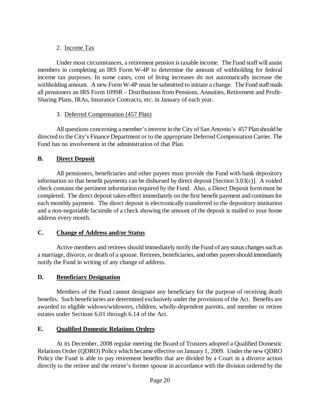# 2. Income Tax

Under most circumstances, a retirement pension is taxable income. The Fund staff will assist members in completing an IRS Form W-4P to determine the amount of withholding for federal income tax purposes. In some cases, cost of living increases do not automatically increase the withholding amount. A new Form W-4P must be submitted to initiate a change. The Fund staff mails all pensioners an IRS Form 1099R – Distributions from Pensions, Annuities, Retirement and Profit-Sharing Plans, IRAs, Insurance Contracts, etc. in January of each year.

# 3. Deferred Compensation (457 Plan)

All questions concerning a member's interest in the City of San Antonio's 457 Plan should be directed to the City's Finance Department or to the appropriate Deferred Compensation Carrier. The Fund has no involvement in the administration of that Plan.

# **B. Direct Deposit**

All pensioners, beneficiaries and other payees must provide the Fund with bank depository information so that benefit payments can be disbursed by direct deposit [Section 3.03(c)]. A voided check contains the pertinent information required by the Fund. Also, a Direct Deposit form must be completed. The direct deposit takes effect immediately on the first benefit payment and continues for each monthly payment. The direct deposit is electronically transferred to the depository institution and a non-negotiable facsimile of a check showing the amount of the deposit is mailed to your home address every month.

# **C. Change of Address and/or Status**

Active members and retirees should immediately notify the Fund of any status changes such as a marriage, divorce, or death of a spouse. Retirees, beneficiaries, and other payees should immediately notify the Fund in writing of any change of address.

# **D. Beneficiary Designation**

Members of the Fund cannot designate any beneficiary for the purpose of receiving death benefits. Such beneficiaries are determined exclusively under the provisions of the Act. Benefits are awarded to eligible widows/widowers, children, wholly-dependent parents, and member or retiree estates under Sections 6.01 through 6.14 of the Act.

# **E. Qualified Domestic Relations Orders**

At its December, 2008 regular meeting the Board of Trustees adopted a Qualified Domestic Relations Order (QDRO) Policy which became effective on January 1, 2009. Under the new QDRO Policy the Fund is able to pay retirement benefits that are divided by a Court in a divorce action directly to the retiree and the retiree's former spouse in accordance with the division ordered by the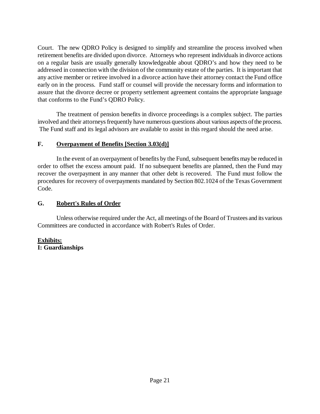Court. The new QDRO Policy is designed to simplify and streamline the process involved when retirement benefits are divided upon divorce. Attorneys who represent individuals in divorce actions on a regular basis are usually generally knowledgeable about QDRO's and how they need to be addressed in connection with the division of the community estate of the parties. It is important that any active member or retiree involved in a divorce action have their attorney contact the Fund office early on in the process. Fund staff or counsel will provide the necessary forms and information to assure that the divorce decree or property settlement agreement contains the appropriate language that conforms to the Fund's QDRO Policy.

The treatment of pension benefits in divorce proceedings is a complex subject. The parties involved and their attorneys frequently have numerous questions about various aspects of the process. The Fund staff and its legal advisors are available to assist in this regard should the need arise.

# **F. Overpayment of Benefits [Section 3.03(d)]**

In the event of an overpayment of benefits by the Fund, subsequent benefits maybe reduced in order to offset the excess amount paid. If no subsequent benefits are planned, then the Fund may recover the overpayment in any manner that other debt is recovered. The Fund must follow the procedures for recovery of overpayments mandated by Section 802.1024 of the Texas Government Code.

# **G. Robert's Rules of Order**

Unless otherwise required under the Act, all meetings of the Board of Trustees and its various Committees are conducted in accordance with Robert's Rules of Order.

#### **Exhibits: I: Guardianships**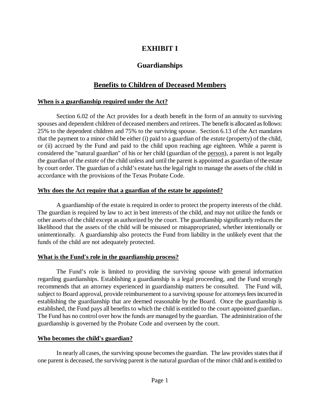# **EXHIBIT I**

# **Guardianships**

# **Benefits to Children of Deceased Members**

#### **When is a guardianship required under the Act?**

Section 6.02 of the Act provides for a death benefit in the form of an annuity to surviving spouses and dependent children of deceased members and retirees. The benefit is allocated as follows: 25% to the dependent children and 75% to the surviving spouse. Section 6.13 of the Act mandates that the payment to a minor child be either (i) paid to a guardian of the *estate* (property) of the child, or (ii) accrued by the Fund and paid to the child upon reaching age eighteen. While a parent is considered the "natural guardian" of his or her child (guardian of the person), a parent is not legally the guardian of the *estate* of the child unless and until the parent is appointed as guardian of the estate by court order. The guardian of a child's estate has the legal right to manage the assets of the child in accordance with the provisions of the Texas Probate Code.

#### **Why does the Act require that a guardian of the estate be appointed?**

A guardianship of the estate is required in order to protect the property interests of the child. The guardian is required by law to act in best interests of the child, and may not utilize the funds or other assets of the child except as authorized by the court. The guardianship significantly reduces the likelihood that the assets of the child will be misused or misappropriated, whether intentionally or unintentionally. A guardianship also protects the Fund from liability in the unlikely event that the funds of the child are not adequately protected.

#### **What is the Fund's role in the guardianship process?**

The Fund's role is limited to providing the surviving spouse with general information regarding guardianships. Establishing a guardianship is a legal proceeding, and the Fund strongly recommends that an attorney experienced in guardianship matters be consulted. The Fund will, subject to Board approval, provide reimbursement to a surviving spouse for attorneys fees incurred in establishing the guardianship that are deemed reasonable by the Board. Once the guardianship is established, the Fund pays all benefits to which the child is entitled to the court appointed guardian.. The Fund has no control over how the funds are managed by the guardian. The administration of the guardianship is governed by the Probate Code and overseen by the court.

#### **Who becomes the child's guardian?**

In nearly all cases, the surviving spouse becomes the guardian. The law provides states that if one parent is deceased, the surviving parent is the natural guardian of the minor child and is entitled to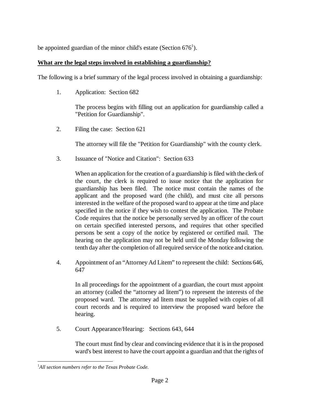be appointed guardian of the minor child's estate (Section  $676^1$ ).

## **What are the legal steps involved in establishing a guardianship?**

The following is a brief summary of the legal process involved in obtaining a guardianship:

1. Application: Section 682

The process begins with filling out an application for guardianship called a "Petition for Guardianship".

2. Filing the case: Section 621

The attorney will file the "Petition for Guardianship" with the county clerk.

3. Issuance of "Notice and Citation": Section 633

When an application for the creation of a guardianship is filed with the clerk of the court, the clerk is required to issue notice that the application for guardianship has been filed. The notice must contain the names of the applicant and the proposed ward (the child), and must cite all persons interested in the welfare of the proposed ward to appear at the time and place specified in the notice if they wish to contest the application. The Probate Code requires that the notice be personally served by an officer of the court on certain specified interested persons, and requires that other specified persons be sent a copy of the notice by registered or certified mail. The hearing on the application may not be held until the Monday following the tenth day after the completion of all required service of the notice and citation.

4. Appointment of an "Attorney Ad Litem" to represent the child: Sections 646, 647

In all proceedings for the appointment of a guardian, the court must appoint an attorney (called the "attorney ad litem") to represent the interests of the proposed ward. The attorney ad litem must be supplied with copies of all court records and is required to interview the proposed ward before the hearing.

5. Court Appearance/Hearing: Sections 643, 644

The court must find by clear and convincing evidence that it is in the proposed ward's best interest to have the court appoint a guardian and that the rights of

<sup>1</sup> *All section numbers refer to the Texas Probate Code.*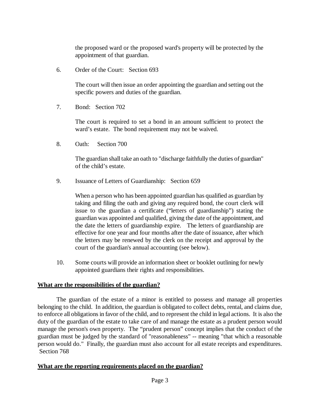the proposed ward or the proposed ward's property will be protected by the appointment of that guardian.

6. Order of the Court: Section 693

The court will then issue an order appointing the guardian and setting out the specific powers and duties of the guardian.

7. Bond: Section 702

The court is required to set a bond in an amount sufficient to protect the ward's estate. The bond requirement may not be waived.

8. Oath: Section 700

The guardian shall take an oath to "discharge faithfully the duties of guardian" of the child's estate.

9. Issuance of Letters of Guardianship: Section 659

When a person who has been appointed guardian has qualified as guardian by taking and filing the oath and giving any required bond, the court clerk will issue to the guardian a certificate ("letters of guardianship") stating the guardian was appointed and qualified, giving the date of the appointment, and the date the letters of guardianship expire. The letters of guardianship are effective for one year and four months after the date of issuance, after which the letters may be renewed by the clerk on the receipt and approval by the court of the guardian's annual accounting (see below).

10. Some courts will provide an information sheet or booklet outlining for newly appointed guardians their rights and responsibilities.

#### **What are the responsibilities of the guardian?**

The guardian of the estate of a minor is entitled to possess and manage all properties belonging to the child. In addition, the guardian is obligated to collect debts, rental, and claims due, to enforce all obligations in favor of the child, and to represent the child in legal actions. It is also the duty of the guardian of the estate to take care of and manage the estate as a prudent person would manage the person's own property. The "prudent person" concept implies that the conduct of the guardian must be judged by the standard of "reasonableness" -- meaning "that which a reasonable person would do." Finally, the guardian must also account for all estate receipts and expenditures. Section 768

#### **What are the reporting requirements placed on the guardian?**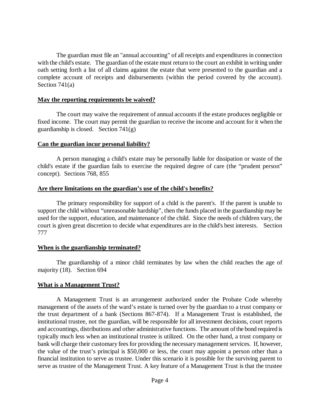The guardian must file an "annual accounting" of all receipts and expenditures in connection with the child's estate. The guardian of the estate must return to the court an exhibit in writing under oath setting forth a list of all claims against the estate that were presented to the guardian and a complete account of receipts and disbursements (within the period covered by the account). Section 741(a)

#### **May the reporting requirements be waived?**

The court may waive the requirement of annual accounts if the estate produces negligible or fixed income. The court may permit the guardian to receive the income and account for it when the guardianship is closed. Section 741(g)

#### **Can the guardian incur personal liability?**

A person managing a child's estate may be personally liable for dissipation or waste of the child's estate if the guardian fails to exercise the required degree of care (the "prudent person" concept). Sections 768, 855

#### **Are there limitations on the guardian's use of the child's benefits?**

The primary responsibility for support of a child is the parent's. If the parent is unable to support the child without "unreasonable hardship", then the funds placed in the guardianship may be used for the support, education, and maintenance of the child. Since the needs of children vary, the court is given great discretion to decide what expenditures are in the child's best interests. Section 777

#### **When is the guardianship terminated?**

The guardianship of a minor child terminates by law when the child reaches the age of majority (18). Section 694

#### **What is a Management Trust?**

A Management Trust is an arrangement authorized under the Probate Code whereby management of the assets of the ward's estate is turned over by the guardian to a trust company or the trust department of a bank (Sections 867-874). If a Management Trust is established, the institutional trustee, not the guardian, will be responsible for all investment decisions, court reports and accountings, distributions and other administrative functions. The amount of the bond required is typically much less when an institutional trustee is utilized. On the other hand, a trust company or bank will charge their customary fees for providing the necessary management services. If, however, the value of the trust's principal is \$50,000 or less, the court may appoint a person other than a financial institution to serve as trustee. Under this scenario it is possible for the surviving parent to serve as trustee of the Management Trust. A key feature of a Management Trust is that the trustee